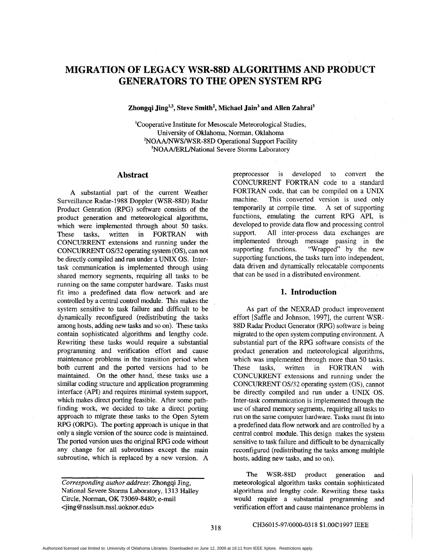# **MIGRATION OF LEGACY WSR-88D ALGORITHMS AND PRODUCT GENERATORS TO THE OPEN SYSTEM**

#### Zhongqi Jing<sup>1,3</sup>, Steve Smith<sup>2</sup>, Michael Jain<sup>3</sup> and Allen Zahrai<sup>3</sup>

<sup>1</sup>Cooperative Institute for Mesoscale Meteorological Studies, University of Oklahoma, Norman, Oklahoma <sup>2</sup>NOAA/NWS/WSR-88D Operational Support Facility <sup>3</sup>NOAA/ERL/National Severe Storms Laboratory

#### **Abstract**

**A** substantial part of the current Weather Surveillance Radar-1988 Doppler (WSR-88D) Radar Product Genration (RPG) software consists of the product generation and meteorological algorithms, which were implemented through about 50 tasks. These tasks, written in FORTRAN with CONCURRENT extensions and running under the CONCURRENT **0332** operating system (OS), can not be directly compiled and run under a UNIX OS. Intertask communication is implemented through using shared memory segments, requiring all tasks to be running on the same computer hardware. Tasks must fit into a predefined data flow network and are controlled by a central control module. This makes the system sensitive to task failure and difficult to be dynamically reconfigured (redistributing the tasks among hosts, adding new **tasks** and so on). These tasks contain sophisticated algorithms and lengthy code. Rewriting these tasks would require **a** substantial programming and verification effort and cause maintenance problems in the transition period when both current and the ported versions had to be maintained. On the other hand,'these tasks use a similar coding structure and application programming interface (API) and requires minimal system support, which makes direct porting feasible. After some pathfinding work, we decided to take a direct porting approach to migrate these tasks to the Open Sytem RPG (ORPG). The porting approach is unique in that only a single version of the source code is maintained. The ported version uses the original RPG code without any change for **all** subroutines except the main subroutine, which is replaced by a new version. A

preprocessor is developed to convert the CONCURRENT FORTRAN code to a standard FORTRAN code, that can be compiled on a UNIX machine. This converted version is used only temporarily at compile time. **A** set of supporting functions, emulating the current RPG API, is developed to provide data flow and processing control support. All inter-process data exchanges are implemented through message passing in the supporting functions. "Wrapped" by the new "Wrapped" by the new supporting functions, the tasks turn into independent, data driven and dynamically relocatable components that can be used in a distributed environment.

#### **1. Introduction**

**As** part of the NEXRAD product improvement effort [Saffle and Johnson, 1997], the current WSR-88D Radar Product Generator (RPG) software is being migrated to the open system computing environment. A substantial part of the RPG software consists of the product generation and meteorological algorithms, which was implemented through more than 50 tasks. These tasks, written in FORTRAN with CONCURRENT extensions and running under the CONCURRENT OS32 operating system **(OS),** cannot be directly compiled and run under a UNIX OS. Inter-task communication is implemented through the use of shared memory segments, requiring all tasks to run on the same computer hardware. Tasks must fit into a predefined data flow network and are controlled by a central control module. This design makes the system sensitive to task failure and difficult to be dynamically reconfigured (redistributing the tasks among multiple hosts, adding new tasks, and so on).

The WSR-88D product generation **and**  meteorological algorithm tasks contain sophisticated algorithms and lengthy code. Rewriting these tasks would require a substantial programming and verification effort and cause maintenance problems in

#### CH36015-97/0000-0318 \$1.0001997 IEEE

*Corresponding author address:* Zhongqi Jing, National Severe Storms Laboratory, 1313 Halley Circle, Norman, OK 73069-8480; e-mail **<jing@nsslsun.nssl.uoknor.edu>**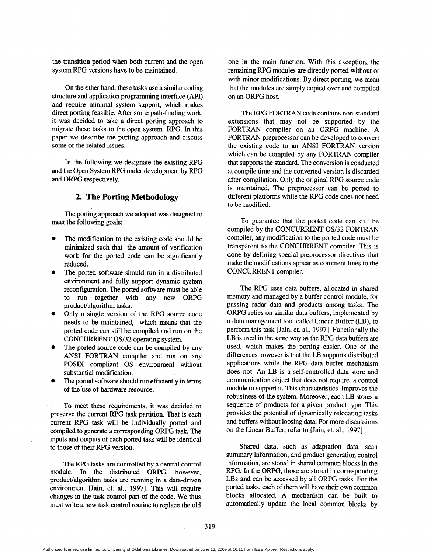the transition period when both current and the open system RPG versions have to be maintained.

On the other hand, these tasks use a similar coding structure and application programming interface (API) and require minimal system support, which makes direct porting feasible. After some path-finding work, it was decided to take a direct porting approach to migrate these tasks to the open system RPG. In this paper we describe the porting approach and discuss some of the related issues.

In the following we designate the existing RPG and the Open System RPG under development by RPG and ORPG respectively.

## **2. The Porting Methodology**

The porting approach we adopted was designed to meet the following goals:

- The modification to the existing code should be minimized such that the amount of verification work for the ported code can be significantly reduced.
- The ported software should run in a distributed environment and fully support dynamic system reconfiguration. The ported software must be able to run together with any new ORPG product/algorithm tasks.
- Only a single version of the RPG source code needs to be maintained, which means that the ported code can still be compiled and run on the CONCURRENT *OS132* operating system.
- The ported source code can be compiled by any ANSI FORTRAN compiler and run on any POSIX compliant OS environment without substantial modification.
- The ported software should run efficiently in terms of the use of hardware resource.

To meet these requirements, it was decided to preserve the current RPG task partition. That is each current RPG task will be individually ported and compiled to generate a corresponding ORPG task. The inputs and outputs of each ported task will be identical to those of their RPG version.

The RPG **tasks** are controlled **by** a central control module. In the distributed ORPG, however, product/algorithm tasks are running in a data-driven environment [Jain, et. al., 19971. This will require changes in the task control part of the code. We thus must write a new task control routine to replace the old

one in the main function. With this exception, the remaining **WG** modules are directly ported without or with minor modifications. By direct porting, we mean that the modules are simply copied over and compiled on an ORPG host.

The RPG FORTRAN code contains non-standard extensions that may not be supported by the FORTRAN compiler on an ORPG machine. A FORTRAN preprocessor can be developed to convert the existing code to an ANSI FORTRAN version which can be compiled by any FORTRAN compiler that supports the standard. The conversion is conducted at compile time and the converted version is discarded after compilation. Only the original RPG source code is maintained. The preprocessor can be ported to different platforms while the RPG code does not need to be modified.

To guarantee that the ported code can still be compiled by the CONCURRENT *OS/32* FORTRAN compiler, any modification to the ported code must be transparent to the CONCURRENT compiler. This is done by defining special preprocessor directives that make the modifications appear **as** comment lines to the CONCURRENT compiler.

The RPG uses data buffers, allocated in shared memory and managed by a buffer control module, for passing radar data and products among tasks. The ORPG relies on similar data buffers, implemented by a data management tool called Linear Buffer (LB), to perform this task [Jain, et. al., 1997]. Functionally the LB is used in the same way **as** the RPG data buffers are used, which makes the porting easier. One of the differences however is that the LB supports distributed applications while the RPG data buffer mechanism does not. An LB is a self-controlled data store and communication object that does not require a control module to support it. This characteristics improves the robustness of the system. Moreover, each LB stores a sequence of products for a given product type. This provides the potential of dynamically relocating tasks and buffers without loosing data. For more discussions on the Linear Buffer, refer to [Jain, et. al., 19971 .

Shared data, such **as** adaptation data, scan summary information, and product generation control information, are stored in shared common blocks in the RPG. In the ORPG, those are stored in corresponding **LBs** and can be accessed by all ORPG tasks. For the ported **tasks,** each of them will have their own common blocks allocated. A mechanism can be built to automatically update the local common blocks by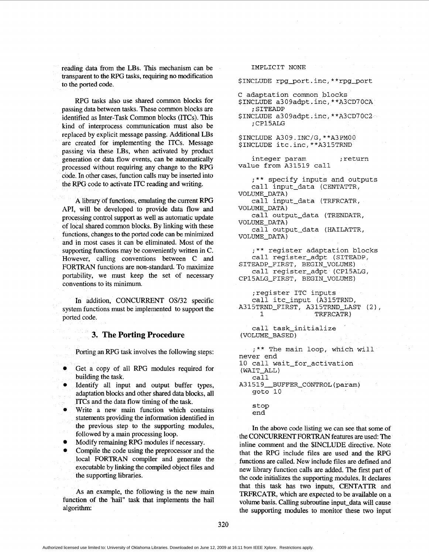reading data from the LBs. This mechanism can be transparent to the RPG tasks, requiring no modification to the ported code.

RPG tasks also use shared common blocks for passing data between tasks. These common blocks are identified **as** Inter-Task Common blocks (ITCs). This kind of interprocess communication must also be by explicit message passing. Additional **LBs**  are created for implementing the ITCs. Message passing via these LBs, when activated by product generation or data flow events, can be automatically processed without requiring any change to the RPG code. In other cases, function calls may be inserted into the RPG code to activate ITC reading and writing.

A library of functions, emulating the current RPG API, will be developed to provide data flow and processing control support **as** well **as** automatic update of local shared common blocks. **By** linking with these functions, changes to the ported code can be minimized and in most cases it can be eliminated. Most of the supporting functions may be conveniently written in C. However, calling conventions between C and FORTRAN functions are non-standard. To maximize portability, we must keep the set of necessary conventions to its minimum.

In addition, CONCURRENT *OS32* specific system functions must be implemented to support the ported code.

#### **3. The Porting Procedure**

Porting an RPG task involves the following steps:

- Get a copy of all RPG modules required for building the task.
- Identify all input and output buffer types, adaptation blocks and other shared data blocks, all ITCs and the data flow timing of the task.
- Write a new main function which contains statements providing the information identified in the previous step to the supporting modules, followed by a main processing loop.
- Modify remaining RPG modules if necessary.
- Compile the code using the preprocessor and the local FORTRAN compiler and generate the executable by linking the compiled object files and the supporting libraries. *0*

As an example, the following **is** the new main function of the 'hail" task that implements the hail algorithm:

#### IMPLICIT NONE

\$INCLUDE rpg\_port.inc,\*\*rpg\_port

- C adaptation common blocks
- \$INCLUDE a309adpt.inc,\*\*A3CD7OCA ; SITEADP
- \$INCLUDE a309adpt.incr \*\*A3CD70C2 ; CP15ALG
- \$INCLUDE A309.INC/G,\*\*A3PMOO \$INCLUDE itc.inc,\*\*A315TRND
- integer param ; return value from A31519 call

;\*\* specify inputs and outputs call input-data (CENTATTR,

call input-data (TRFRCATR, VOLUME-DATA) VOLUME-DATA)

call output-data (TRENDATR, VOLUME-DATA)

```
call output-data (HAILATTR, 
VOLUME-DATA)
```
;\*\* register adaptation blocks call register\_adpt (SITEADP, call register\_adpt (CP15ALG, SITEADP\_FIRST, BEGIN\_VOLUME) CP15ALG-FIRST, BEGIN-VOLUME)

;register ITC inputs call itc-input (A315TRND, 1 TRFRCATR) A315TRND\_FIRST, A315TRND\_LAST (2),

```
call task-initialize 
(VOLUME-BASED )
```
;\*\* The main loop, which will never end 10 call wait-for-activation

( WAIT-ALL )

call **A31519-BUFFER-CONTROL(param)**  got0 10

> stop end

In the above code listing we can see that some of the CONCURRENT FORTRAN features are used: The inline comment and the \$INCLUDE directive. Note that the RPG include files are used and the RPG functions are called. New include files are defined and new library function calls are added. The first part of the code initializes the supporting modules. It declares that this task **has** two inputs, CENTATTR and TRFRCATR, which are expected to be available on a volume basis. Calling subroutine input-data will cause the supporting modules to monitor these two input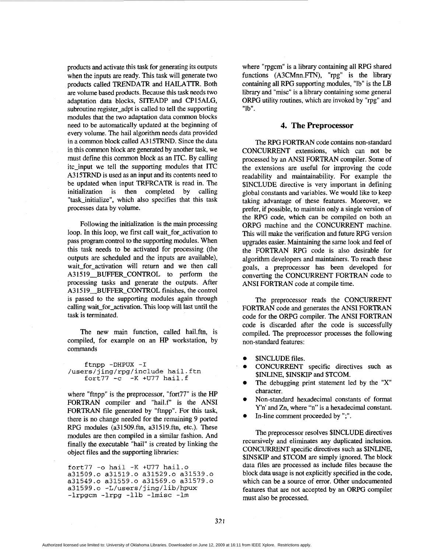products and activate this task for generating its outputs when the inputs are ready. This task will generate two products called TRENDATR and HAILATTR. Both are volume based products. Because this task needs two adaptation data blocks, SITEADP and CP15ALG, subroutine register-adpt is called to tell the supporting modules that the two adaptation data common blocks need to be automatically updated at the beginning of every volume. The hail algorithm needs data provided in a common block called A315TRND. Since the data in this common block are generated by another task, we must define this common block as an ITC. By calling itc-input we tell the supporting modules that ITC A315TRND is used **as** an input and its contents need to be updated when input TRFRCATR is read in. The initialization is then completed by calling "task\_initialize", which also specifies that this task processes data by volume.

Following the initialization is the main processing loop. In this loop, we first call wait-for-activation to pass program control to the supporting modules. When this task needs to be activated for processing (the outputs are scheduled and the inputs are available), wait-for-activation will return and we then call A31519 BUFFER CONTROL to perform the processing tasks and generate the outputs. After A31519\_BUFFER\_CONTROL finishes, the control is passed to the supporting modules again through calling wait for activation. This loop will last until the task is terminated.

The new main function, called hail.ftn, is compiled, for example on an HP workstation, by commands

**ftnpp -DHPUX -I /users/jing/rpg/include hail.ftn fort77 -c** -K **+U77 hai1.f** 

where "ftnpp" is the preprocessor, "fort77" is the HP FORTRAN compiler and "hai1.f" is the ANSI FORTRAN file generated by "ftnpp". For this task, there **is** no change needed for the remaining **9** ported RPG modules (a31509.ftn, a31519.ftn, etc.). These modules are then compiled in a similar fashion. And finally the executable "hail" is created by linking the object files and the supporting libraries:

**fort77** *-0* **hail** -K **+U77 hai1.o a31509.0 a31519.0 a31529.0 a31539.0 a31549.0 a31559.0 a31569.0 a31579.0 a31599.0 -L/users/jing/lib/hpux -1rpgcm -1rpg -1lb -1misc** -1m

where "rpgcm" is a library containing all RPG shared functions (A3CMnn.FTN), "rpg" is the library containing all RPG supporting modules, "lb" is the LB library and "misc" is a library containing some general ORPG utility routines, which are invoked by "rpg" and "lb".

#### **4. The Preprocessor**

The RPG FORTRAN code contains non-standard CONCURRENT extensions, which can not be processed by an ANSI FORTRAN compiler. Some of the extensions are useful for improving the code readability and maintainability. For example the \$INCLUDE directive is very important in defining global constants and variables. We would like to keep taking advantage of these features. Moreover, we prefer, if possible, to maintain only a single version of the RPG code, which can be compiled on both an ORPG machine and the CONCURRENT machine. This will make the verification and future RPG version upgrades easier. Maintaining the same look and feel of the FORTRAN RPG code is also desirable for algorithm developers and maintainers. To reach these goals, a preprocessor has been developed for converting the CONCURRENT FORTRAN code to ANSI FORTRAN code at compile time.

The preprocessor reads the CONCURRENT FORTRAN code and generates the ANSI FORTRAN code for the ORPG compiler. The ANSI FORTRAN code is discarded after the code is successfully compiled. The preprocessor processes the following non-standard features:

- **SINCLUDE** files.
- *0* CONCURRENT specific directives such **as**  \$INLINE, \$INSKIP and \$TCOM.
- The debugging print statement led by the **"X"**  character.
- *0* Non-standard hexadecimal constants of format Y'n' and Zn, where "n" is a hexadecimal constant.
- In-line comment proceeded by ";".

The preprocessor resolves \$INCLUDE directives recursively and eliminates any duplicated inclusion. CONCURRENT specific directives such **as** \$INLINE, \$INSKIP and \$TCOM are simply ignored. The block data files are processed **as** include files because the block data usage is not explicitly specified in the code, which can be a source of error. Other undocumented features that are not accepted by an ORPG compiler must also be processed.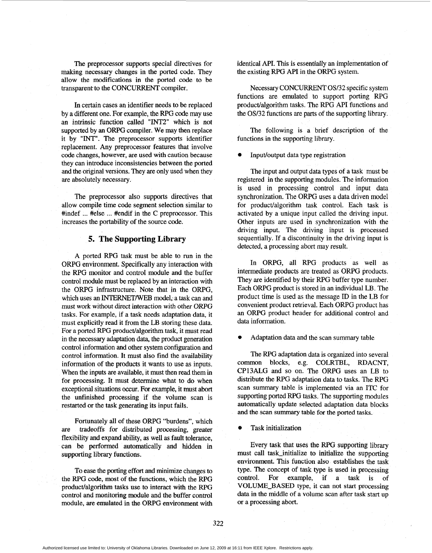The preprocessor supports special directives for making necessary changes in the ported code. They allow the modifications in the ported code to be transparent to the CONCURRENT compiler.

In certain cases an identifier needs to be replaced by a different one. For example, the RPG code may use an intrinsic function called "INT2" which is not supported by an ORPG compiler. We may then replace it by "INT". The preprocessor supports identifier replacement. Any preprocessor features that involve code changes, however, are used with caution because they can introduce inconsistencies between the ported and the original versions. They are only used when they are absolutely necessary.

The preprocessor also supports directives that allow compile time code segment selection similar to #indef ... #else ... #endif in the C preprocessor. This increases the portability of the source code.

### **5. The Supporting Library**

A ported RPG task must be able to run in the ORPG environment. Specifically any interaction with the RPG monitor and control module and the buffer control module must be replaced by an interaction with the ORPG infrastructure. Note that in the ORPG, which uses an INTERNET/WEB model, a task can and must work without direct interaction with other ORPG tasks. For example, if a task needs adaptation data, it must explicitly read it from the LB storing these data. For a ported RPG product/algorithm task, it must read in the necessary adaptation **data,** the product generation control information and other system configuration and control information. It must also find the availability information of the products it wants to use **as** inputs. When the inputs are available, it must then read them in for processing. It must determine what to do when exceptional situations occur. For example, it must abort the unfinished processing if the volume scan is restarted or the **task** generating its input fails.

Fortunately all of these ORPG "burdens", which are tradeoffs for distributed processing, geater flexibility and expand ability, **as** well **as** fault tolerance, can be performed automatically and hidden in supporting library functions.

To ease the porting effort and minimize changes to the RPG code, most of the functions, which the RPG product/algorithm tasks use to interact with the RPG control and monitoring module and the buffer control module, are emulated in the ORPG environment with identical API. This is essentially an implementation of the existing RPG API in the ORPG system.

Necessary CONCURRENT OS/32 specific system functions are emulated to support porting RPG product/algorithm tasks. The RPG API functions and the *OS/32* functions are **parts** of the supporting library.

The following is a brief description of the functions in the supporting library.

Input/output data type registration

The input and output data types of a task must be registered in the supporting modules. The information is used in processing control and input data synchronization. The ORPG uses a data driven model for product/algorithm task control. Each task is activated by a unique input called the driving input. Other inputs are used in synchronization with the driving input. The driving input is processed sequentially. If a discontinuity in the driving input is detected, a processing abort may result.

In ORPG, all RPG products as well as intermediate products are treated as ORPG products. They are identified by their RPG buffer type number. Each ORPG product is stored in an individual LB. The product time is used **as** the message ID in the **LB** for convenient product retrieval. Each ORPG product has an ORPG product header for additional control and data information.

Adaptation data and the scan summary table

The RPG adaptation data is organized into several common blocks, e.g. COLRTBL, RDACNT, CP13ALG and so on. The ORPG uses an LB to distribute the RPG adaptation data to tasks. The RPG scan summary table is implemented via an ITC for supporting ported RPG tasks. The supporting modules automatically update selected adaptation data blocks and the scan summary table for the ported tasks.

*0* Task initialization

Every task that uses the RPG supporting library must call task\_initialize to initialize the supporting environment. This function also establishes the task type. The concept of task type is used in processing control. For example, if a task is of VOLUME-BASED type, it can not start processing data in the middle of a volume scan after task start up or a processing abort.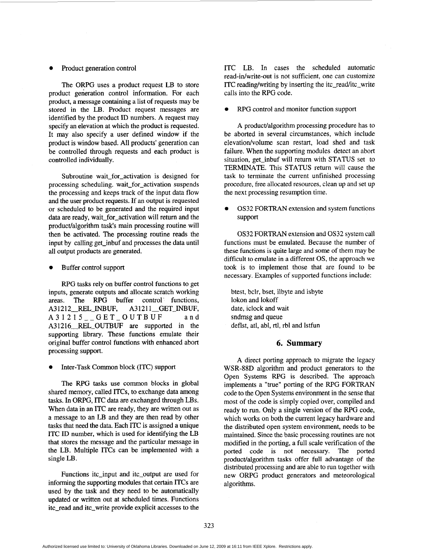#### Product generation control

The ORPG uses a product request LB to store product generation control information. For each product, a message containing a list of requests may be stored in the LB. Product request messages are identified by the product ID numbers. A request may specify an elevation at which the product is requested. It may also specify a user defined window if the product is window based. All products' generation can be controlled through requests and each product is controlled individually.

Subroutine wait for activation is designed for processing scheduling. wait-for-activation suspends the processing and keeps track of the input data flow and the user product requests. If an output is requested or scheduled to be generated and the required input data are ready, wait-for-activation will return and the product/algorithm task's main processing routine will then be activated. The processing routine reads the input by calling get inbuf and processes the data until all output products are generated.

#### *Buffer control support*

RPG tasks rely on buffer control functions to get inputs, generate outputs and allocate scratch working areas. The RPG buffer control functions,<br>A31212 REL INBUF. A31211 GET INBUF. A31212\_REL\_INBUF, A31215\_-GET\_OUTBUF and A31216\_REL\_OUTBUF are supported in the supporting library. These functions emulate their original buffer control functions with enhanced abort processing support.

Inter-Task Common block (ITC) support

The RPG tasks use common blocks in global shared memory, called ITCs, to exchange data among tasks. In ORPG, ITC data are exchanged through LBs. When data in **an** ITC are ready, they are written out as a message to an LB and they are then read by other tasks that need the **data.** Each ITC is assigned a unique ITC ID number, which is used for identifying the LB that stores the message and the particular message in the LB. Multiple ITCs can be implemented with a single LB.

Functions itc\_input and itc\_output are used for informing the supporting modules that certain ITCs are used by the task and they need to be automatically updated or written out at scheduled times. Functions itc-read and itc-write provide explicit accesses to the ITC LB. In cases the scheduled automatic read-in/write-out is not sufficient, one can customize ITC reading/writing by inserting the itc\_read/itc\_write calls into the RPG code.

*0* RPG control and monitor function support

**A** product/algorithm processing procedure has to be aborted in several circumstances, which include elevation/volume scan restart, load shed and task failure. When the supporting modules detect an abort situation, get inbuf will return with STATUS set to TERMINATE. This STATUS return will cause the task to terminate the current unfinished processing procedure, free allocated resources, clean up and set **up**  the next processing resumption time.

*0* **OS32** FORTRAN extension and system functions support

OS32 FORTRAN extension and OS32 system call functions must be emulated. Because the number of these functions is quite large and some of them may be difficult to emulate in **a** different OS, the approach we took is to implement those that are found to be necessary. Examples of supported functions include:

btest, bclr, bset, ilbyte and isbyte lokon and lokoff date, iclock and wait sndmsg and queue deflst, atl, abl, rtl, rbl and lstfun

## **6. Summary**

A direct porting approach to migrate the legacy WSR-88D algorithm and product generators to the Open Systems RPG is described. The approach implements a "true" porting of the RPG FORTRAN code to the Open Systems environment in the sense that most of the code is simply copied over, compiled and ready to run. Only a single version of the RPG code, which works on both the current legacy hardware and the distributed open system environment, needs to be maintained. Since the basic processing routines are not modified in the porting, a full scale verification of the ported code is not necessary. The ported product/algorithm tasks offer full advantage of the distributed processing and are able to run together with new ORPG product generators and meteorological algorithms .